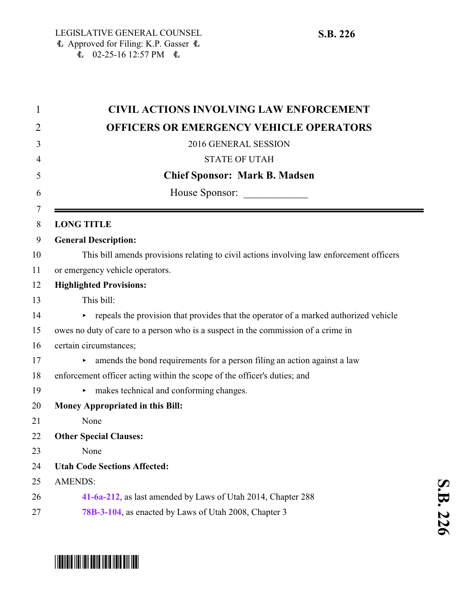| $\mathbf{1}$ | <b>CIVIL ACTIONS INVOLVING LAW ENFORCEMENT</b>                                           |
|--------------|------------------------------------------------------------------------------------------|
| 2            | <b>OFFICERS OR EMERGENCY VEHICLE OPERATORS</b>                                           |
| 3            | 2016 GENERAL SESSION                                                                     |
| 4            | <b>STATE OF UTAH</b>                                                                     |
| 5            | <b>Chief Sponsor: Mark B. Madsen</b>                                                     |
| 6            | House Sponsor:                                                                           |
| 7            |                                                                                          |
| 8            | <b>LONG TITLE</b>                                                                        |
| 9            | <b>General Description:</b>                                                              |
| 10           | This bill amends provisions relating to civil actions involving law enforcement officers |
| 11           | or emergency vehicle operators.                                                          |
| 12           | <b>Highlighted Provisions:</b>                                                           |
| 13           | This bill:                                                                               |
| 14           | repeals the provision that provides that the operator of a marked authorized vehicle     |
| 15           | owes no duty of care to a person who is a suspect in the commission of a crime in        |
| 16           | certain circumstances;                                                                   |
| 17           | amends the bond requirements for a person filing an action against a law                 |
| 18           | enforcement officer acting within the scope of the officer's duties; and                 |
| 19           | makes technical and conforming changes.                                                  |
| 20           | <b>Money Appropriated in this Bill:</b>                                                  |
| 21           | None                                                                                     |
| 22           | <b>Other Special Clauses:</b>                                                            |
| 23           | None                                                                                     |
| 24           | <b>Utah Code Sections Affected:</b>                                                      |
| 25           | <b>AMENDS:</b>                                                                           |
| 26           | 41-6a-212, as last amended by Laws of Utah 2014, Chapter 288                             |
| 27           | 78B-3-104, as enacted by Laws of Utah 2008, Chapter 3                                    |

## \* SB02026 2011 1011 0011 11011 11011 11011 11011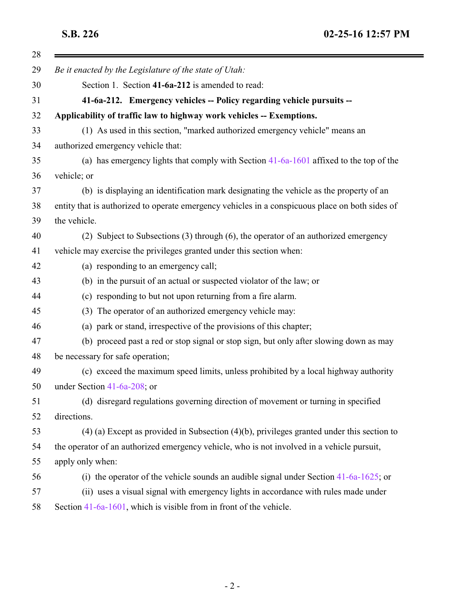<span id="page-1-0"></span>

| Be it enacted by the Legislature of the state of Utah:                                          |
|-------------------------------------------------------------------------------------------------|
| Section 1. Section 41-6a-212 is amended to read:                                                |
| 41-6a-212. Emergency vehicles -- Policy regarding vehicle pursuits --                           |
| Applicability of traffic law to highway work vehicles -- Exemptions.                            |
| (1) As used in this section, "marked authorized emergency vehicle" means an                     |
| authorized emergency vehicle that:                                                              |
| (a) has emergency lights that comply with Section 41-6a-1601 affixed to the top of the          |
| vehicle; or                                                                                     |
| (b) is displaying an identification mark designating the vehicle as the property of an          |
| entity that is authorized to operate emergency vehicles in a conspicuous place on both sides of |
| the vehicle.                                                                                    |
| (2) Subject to Subsections (3) through (6), the operator of an authorized emergency             |
| vehicle may exercise the privileges granted under this section when:                            |
| (a) responding to an emergency call;                                                            |
| (b) in the pursuit of an actual or suspected violator of the law; or                            |
| (c) responding to but not upon returning from a fire alarm.                                     |
| (3) The operator of an authorized emergency vehicle may:                                        |
| (a) park or stand, irrespective of the provisions of this chapter;                              |
| (b) proceed past a red or stop signal or stop sign, but only after slowing down as may          |
| be necessary for safe operation;                                                                |
| (c) exceed the maximum speed limits, unless prohibited by a local highway authority             |
| under Section $41-6a-208$ ; or                                                                  |
| (d) disregard regulations governing direction of movement or turning in specified               |
| directions.                                                                                     |
| $(4)$ (a) Except as provided in Subsection $(4)(b)$ , privileges granted under this section to  |
| the operator of an authorized emergency vehicle, who is not involved in a vehicle pursuit,      |
| apply only when:                                                                                |
| (i) the operator of the vehicle sounds an audible signal under Section $41-6a-1625$ ; or        |
| (ii) uses a visual signal with emergency lights in accordance with rules made under             |
| Section $41-6a-1601$ , which is visible from in front of the vehicle.                           |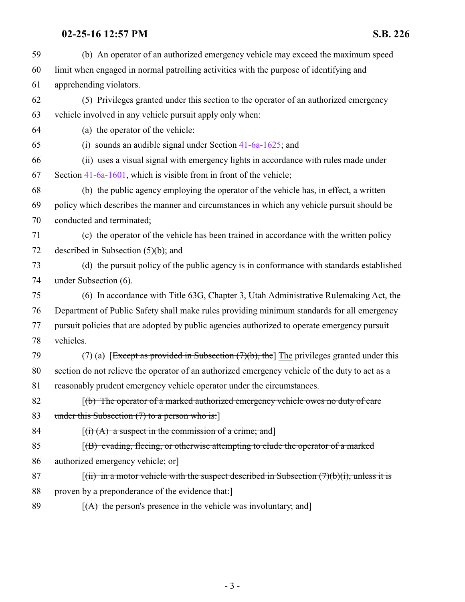## **02-25-16 12:57 PM S.B. 226**

| 59 | (b) An operator of an authorized emergency vehicle may exceed the maximum speed                                   |
|----|-------------------------------------------------------------------------------------------------------------------|
| 60 | limit when engaged in normal patrolling activities with the purpose of identifying and                            |
| 61 | apprehending violators.                                                                                           |
| 62 | (5) Privileges granted under this section to the operator of an authorized emergency                              |
| 63 | vehicle involved in any vehicle pursuit apply only when:                                                          |
| 64 | (a) the operator of the vehicle:                                                                                  |
| 65 | (i) sounds an audible signal under Section $41-6a-1625$ ; and                                                     |
| 66 | (ii) uses a visual signal with emergency lights in accordance with rules made under                               |
| 67 | Section 41-6a-1601, which is visible from in front of the vehicle;                                                |
| 68 | (b) the public agency employing the operator of the vehicle has, in effect, a written                             |
| 69 | policy which describes the manner and circumstances in which any vehicle pursuit should be                        |
| 70 | conducted and terminated;                                                                                         |
| 71 | (c) the operator of the vehicle has been trained in accordance with the written policy                            |
| 72 | described in Subsection $(5)(b)$ ; and                                                                            |
| 73 | (d) the pursuit policy of the public agency is in conformance with standards established                          |
| 74 | under Subsection (6).                                                                                             |
| 75 | (6) In accordance with Title 63G, Chapter 3, Utah Administrative Rulemaking Act, the                              |
| 76 | Department of Public Safety shall make rules providing minimum standards for all emergency                        |
| 77 | pursuit policies that are adopted by public agencies authorized to operate emergency pursuit                      |
| 78 | vehicles.                                                                                                         |
| 79 | (7) (a) [Except as provided in Subsection $(7)(b)$ , the] The privileges granted under this                       |
| 80 | section do not relieve the operator of an authorized emergency vehicle of the duty to act as a                    |
| 81 | reasonably prudent emergency vehicle operator under the circumstances.                                            |
| 82 | $(f(b)$ The operator of a marked authorized emergency vehicle owes no duty of care                                |
| 83 | under this Subsection $(7)$ to a person who is:                                                                   |
| 84 | $[(i) (A)$ a suspect in the commission of a crime; and                                                            |
| 85 | $(6)$ evading, fleeing, or otherwise attempting to elude the operator of a marked                                 |
| 86 | authorized emergency vehicle; or                                                                                  |
| 87 | $\left[\right(\text{iii})$ in a motor vehicle with the suspect described in Subsection $(7)(b)(i)$ , unless it is |
| 88 | proven by a preponderance of the evidence that:                                                                   |
| 89 | $[(A)$ the person's presence in the vehicle was involuntary; and                                                  |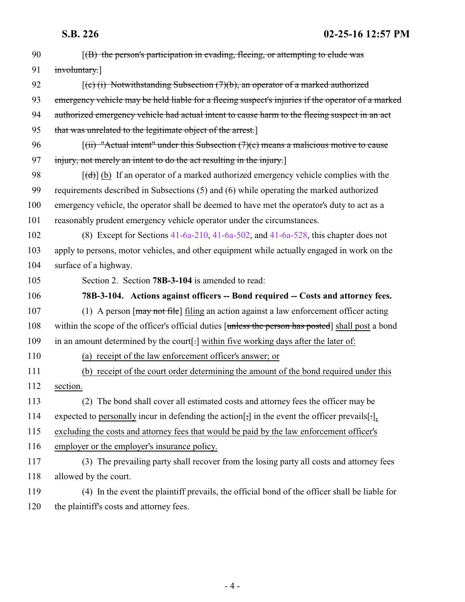**S.B. 226 02-25-16 12:57 PM**

<span id="page-3-0"></span>

| 90  | $(6)$ the person's participation in evading, fleeing, or attempting to elude was                       |
|-----|--------------------------------------------------------------------------------------------------------|
| 91  | involuntary.]                                                                                          |
| 92  | $(c)$ (i) Notwithstanding Subsection (7)(b), an operator of a marked authorized                        |
| 93  | emergency vehicle may be held liable for a fleeing suspect's injuries if the operator of a marked      |
| 94  | authorized emergency vehicle had actual intent to cause harm to the fleeing suspect in an act          |
| 95  | that was unrelated to the legitimate object of the arrest.]                                            |
| 96  | $[(ii)$ "Actual intent" under this Subsection $(7)(c)$ means a malicious motive to cause               |
| 97  | injury, not merely an intent to do the act resulting in the injury.                                    |
| 98  | $[\text{td}]$ (b) If an operator of a marked authorized emergency vehicle complies with the            |
| 99  | requirements described in Subsections (5) and (6) while operating the marked authorized                |
| 100 | emergency vehicle, the operator shall be deemed to have met the operator's duty to act as a            |
| 101 | reasonably prudent emergency vehicle operator under the circumstances.                                 |
| 102 | (8) Except for Sections $41-6a-210$ , $41-6a-502$ , and $41-6a-528$ , this chapter does not            |
| 103 | apply to persons, motor vehicles, and other equipment while actually engaged in work on the            |
| 104 | surface of a highway.                                                                                  |
| 105 | Section 2. Section 78B-3-104 is amended to read:                                                       |
| 106 | 78B-3-104. Actions against officers -- Bond required -- Costs and attorney fees.                       |
| 107 | (1) A person $\lceil \frac{may}{end} \rceil$ filing an action against a law enforcement officer acting |
| 108 | within the scope of the officer's official duties [unless the person has posted] shall post a bond     |
| 109 | in an amount determined by the court[-] within five working days after the later of:                   |
| 110 | (a) receipt of the law enforcement officer's answer; or                                                |
| 111 | (b) receipt of the court order determining the amount of the bond required under this                  |
| 112 | section.                                                                                               |
| 113 | (2) The bond shall cover all estimated costs and attorney fees the officer may be                      |
| 114 | expected to personally incur in defending the action [; ] in the event the officer prevails [],        |
| 115 | excluding the costs and attorney fees that would be paid by the law enforcement officer's              |
| 116 | employer or the employer's insurance policy.                                                           |
| 117 | (3) The prevailing party shall recover from the losing party all costs and attorney fees               |
| 118 | allowed by the court.                                                                                  |
| 119 | (4) In the event the plaintiff prevails, the official bond of the officer shall be liable for          |
| 120 | the plaintiff's costs and attorney fees.                                                               |